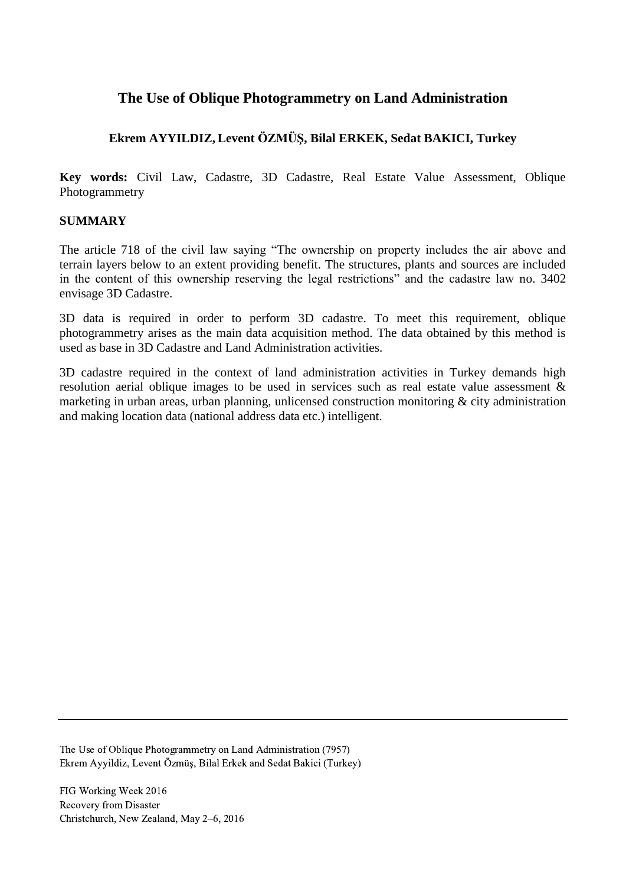# **The Use of Oblique Photogrammetry on Land Administration**

## **Ekrem AYYILDIZ, Levent ÖZMÜŞ, Bilal ERKEK, Sedat BAKICI, Turkey**

**Key words:** Civil Law, Cadastre, 3D Cadastre, Real Estate Value Assessment, Oblique Photogrammetry

### **SUMMARY**

The article 718 of the civil law saying "The ownership on property includes the air above and terrain layers below to an extent providing benefit. The structures, plants and sources are included in the content of this ownership reserving the legal restrictions" and the cadastre law no. 3402 envisage 3D Cadastre.

3D data is required in order to perform 3D cadastre. To meet this requirement, oblique photogrammetry arises as the main data acquisition method. The data obtained by this method is used as base in 3D Cadastre and Land Administration activities.

3D cadastre required in the context of land administration activities in Turkey demands high resolution aerial oblique images to be used in services such as real estate value assessment & marketing in urban areas, urban planning, unlicensed construction monitoring & city administration and making location data (national address data etc.) intelligent.

The Use of Oblique Photogrammetry on Land Administration (7957) Ekrem Ayyildiz, Levent Özmüş, Bilal Erkek and Sedat Bakici (Turkey)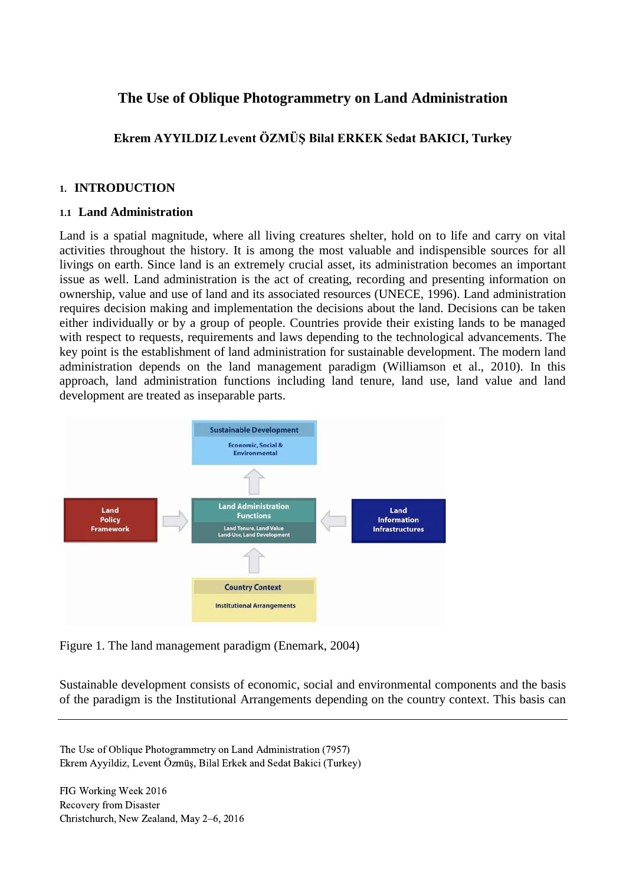# **The Use of Oblique Photogrammetry on Land Administration**

**Ekrem AYYILDIZ Levent ÖZMÜŞ Bilal ERKEK Sedat BAKICI, Turkey**

#### **1. INTRODUCTION**

#### **1.1 Land Administration**

Land is a spatial magnitude, where all living creatures shelter, hold on to life and carry on vital activities throughout the history. It is among the most valuable and indispensible sources for all livings on earth. Since land is an extremely crucial asset, its administration becomes an important issue as well. Land administration is the act of creating, recording and presenting information on ownership, value and use of land and its associated resources (UNECE, 1996). Land administration requires decision making and implementation the decisions about the land. Decisions can be taken either individually or by a group of people. Countries provide their existing lands to be managed with respect to requests, requirements and laws depending to the technological advancements. The key point is the establishment of land administration for sustainable development. The modern land administration depends on the land management paradigm (Williamson et al., 2010). In this approach, land administration functions including land tenure, land use, land value and land development are treated as inseparable parts.



Figure 1. The land management paradigm (Enemark, 2004)

Sustainable development consists of economic, social and environmental components and the basis of the paradigm is the Institutional Arrangements depending on the country context. This basis can

The Use of Oblique Photogrammetry on Land Administration (7957) Ekrem Ayyildiz, Levent Özmüş, Bilal Erkek and Sedat Bakici (Turkey)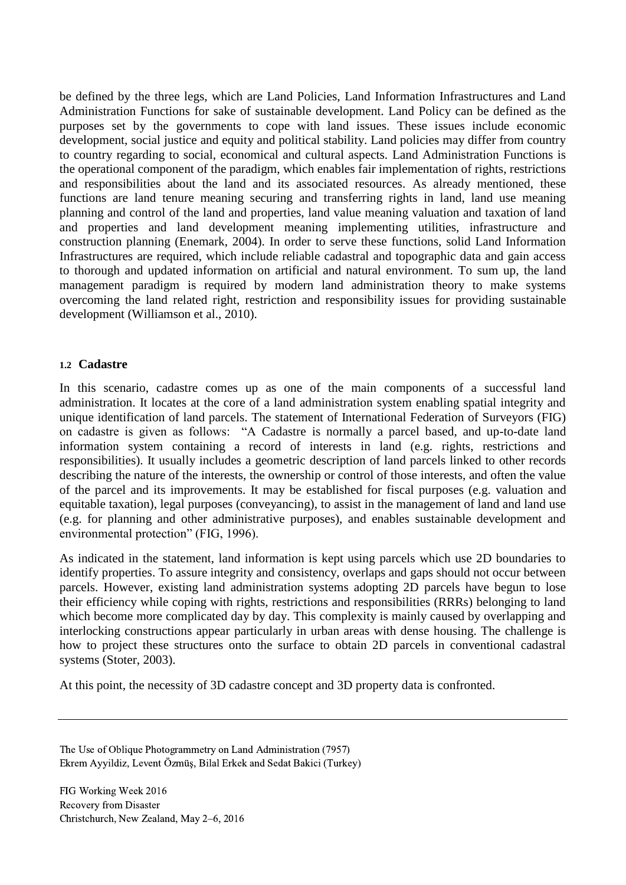be defined by the three legs, which are Land Policies, Land Information Infrastructures and Land Administration Functions for sake of sustainable development. Land Policy can be defined as the purposes set by the governments to cope with land issues. These issues include economic development, social justice and equity and political stability. Land policies may differ from country to country regarding to social, economical and cultural aspects. Land Administration Functions is the operational component of the paradigm, which enables fair implementation of rights, restrictions and responsibilities about the land and its associated resources. As already mentioned, these functions are land tenure meaning securing and transferring rights in land, land use meaning planning and control of the land and properties, land value meaning valuation and taxation of land and properties and land development meaning implementing utilities, infrastructure and construction planning (Enemark, 2004). In order to serve these functions, solid Land Information Infrastructures are required, which include reliable cadastral and topographic data and gain access to thorough and updated information on artificial and natural environment. To sum up, the land management paradigm is required by modern land administration theory to make systems overcoming the land related right, restriction and responsibility issues for providing sustainable development (Williamson et al., 2010).

#### **1.2 Cadastre**

In this scenario, cadastre comes up as one of the main components of a successful land administration. It locates at the core of a land administration system enabling spatial integrity and unique identification of land parcels. The statement of International Federation of Surveyors (FIG) on cadastre is given as follows: "A Cadastre is normally a parcel based, and up-to-date land information system containing a record of interests in land (e.g. rights, restrictions and responsibilities). It usually includes a geometric description of land parcels linked to other records describing the nature of the interests, the ownership or control of those interests, and often the value of the parcel and its improvements. It may be established for fiscal purposes (e.g. valuation and equitable taxation), legal purposes (conveyancing), to assist in the management of land and land use (e.g. for planning and other administrative purposes), and enables sustainable development and environmental protection" (FIG, 1996).

As indicated in the statement, land information is kept using parcels which use 2D boundaries to identify properties. To assure integrity and consistency, overlaps and gaps should not occur between parcels. However, existing land administration systems adopting 2D parcels have begun to lose their efficiency while coping with rights, restrictions and responsibilities (RRRs) belonging to land which become more complicated day by day. This complexity is mainly caused by overlapping and interlocking constructions appear particularly in urban areas with dense housing. The challenge is how to project these structures onto the surface to obtain 2D parcels in conventional cadastral systems (Stoter, 2003).

At this point, the necessity of 3D cadastre concept and 3D property data is confronted.

The Use of Oblique Photogrammetry on Land Administration (7957) Ekrem Ayyildiz, Levent Özmüş, Bilal Erkek and Sedat Bakici (Turkey)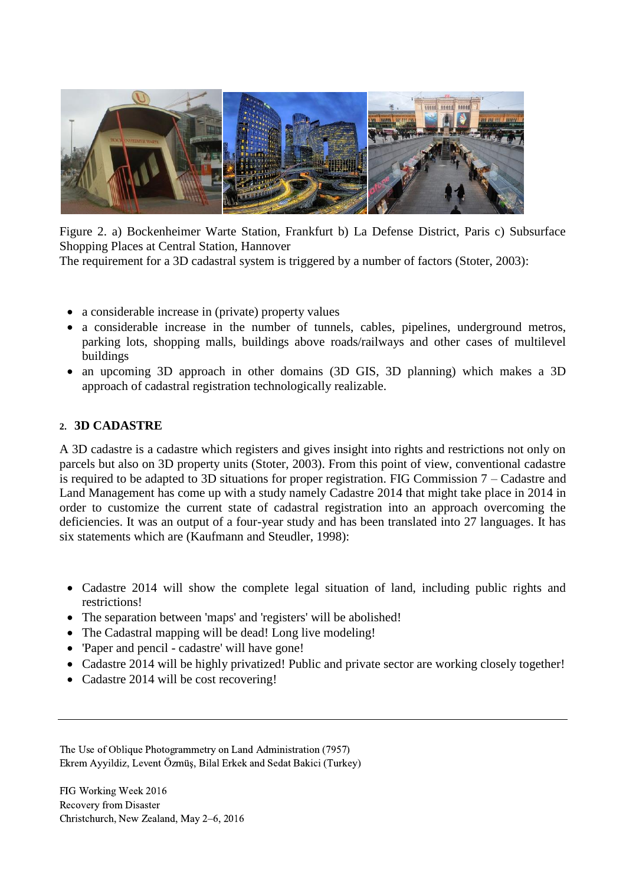

Figure 2. a) Bockenheimer Warte Station, Frankfurt b) La Defense District, Paris c) Subsurface Shopping Places at Central Station, Hannover

The requirement for a 3D cadastral system is triggered by a number of factors (Stoter, 2003):

- a considerable increase in (private) property values
- a considerable increase in the number of tunnels, cables, pipelines, underground metros, parking lots, shopping malls, buildings above roads/railways and other cases of multilevel buildings
- an upcoming 3D approach in other domains (3D GIS, 3D planning) which makes a 3D approach of cadastral registration technologically realizable.

### **2. 3D CADASTRE**

A 3D cadastre is a cadastre which registers and gives insight into rights and restrictions not only on parcels but also on 3D property units (Stoter, 2003). From this point of view, conventional cadastre is required to be adapted to 3D situations for proper registration. FIG Commission 7 – Cadastre and Land Management has come up with a study namely Cadastre 2014 that might take place in 2014 in order to customize the current state of cadastral registration into an approach overcoming the deficiencies. It was an output of a four-year study and has been translated into 27 languages. It has six statements which are (Kaufmann and Steudler, 1998):

- Cadastre 2014 will show the complete legal situation of land, including public rights and restrictions!
- The separation between 'maps' and 'registers' will be abolished!
- The Cadastral mapping will be dead! Long live modeling!
- 'Paper and pencil cadastre' will have gone!
- Cadastre 2014 will be highly privatized! Public and private sector are working closely together!
- Cadastre 2014 will be cost recovering!

The Use of Oblique Photogrammetry on Land Administration (7957) Ekrem Ayyildiz, Levent Özmüş, Bilal Erkek and Sedat Bakici (Turkey)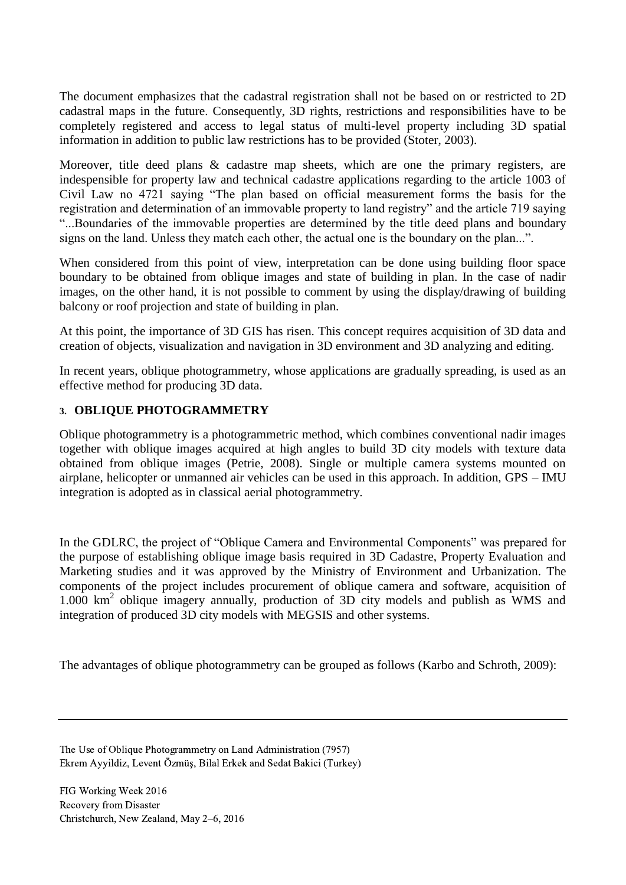The document emphasizes that the cadastral registration shall not be based on or restricted to 2D cadastral maps in the future. Consequently, 3D rights, restrictions and responsibilities have to be completely registered and access to legal status of multi-level property including 3D spatial information in addition to public law restrictions has to be provided (Stoter, 2003).

Moreover, title deed plans & cadastre map sheets, which are one the primary registers, are indespensible for property law and technical cadastre applications regarding to the article 1003 of Civil Law no 4721 saying "The plan based on official measurement forms the basis for the registration and determination of an immovable property to land registry" and the article 719 saying "...Boundaries of the immovable properties are determined by the title deed plans and boundary signs on the land. Unless they match each other, the actual one is the boundary on the plan...".

When considered from this point of view, interpretation can be done using building floor space boundary to be obtained from oblique images and state of building in plan. In the case of nadir images, on the other hand, it is not possible to comment by using the display/drawing of building balcony or roof projection and state of building in plan.

At this point, the importance of 3D GIS has risen. This concept requires acquisition of 3D data and creation of objects, visualization and navigation in 3D environment and 3D analyzing and editing.

In recent years, oblique photogrammetry, whose applications are gradually spreading, is used as an effective method for producing 3D data.

### **3. OBLIQUE PHOTOGRAMMETRY**

Oblique photogrammetry is a photogrammetric method, which combines conventional nadir images together with oblique images acquired at high angles to build 3D city models with texture data obtained from oblique images (Petrie, 2008). Single or multiple camera systems mounted on airplane, helicopter or unmanned air vehicles can be used in this approach. In addition, GPS – IMU integration is adopted as in classical aerial photogrammetry.

In the GDLRC, the project of "Oblique Camera and Environmental Components" was prepared for the purpose of establishing oblique image basis required in 3D Cadastre, Property Evaluation and Marketing studies and it was approved by the Ministry of Environment and Urbanization. The components of the project includes procurement of oblique camera and software, acquisition of 1.000 km<sup>2</sup> oblique imagery annually, production of 3D city models and publish as WMS and integration of produced 3D city models with MEGSIS and other systems.

The advantages of oblique photogrammetry can be grouped as follows (Karbo and Schroth, 2009):

The Use of Oblique Photogrammetry on Land Administration (7957) Ekrem Ayyildiz, Levent Özmüş, Bilal Erkek and Sedat Bakici (Turkey)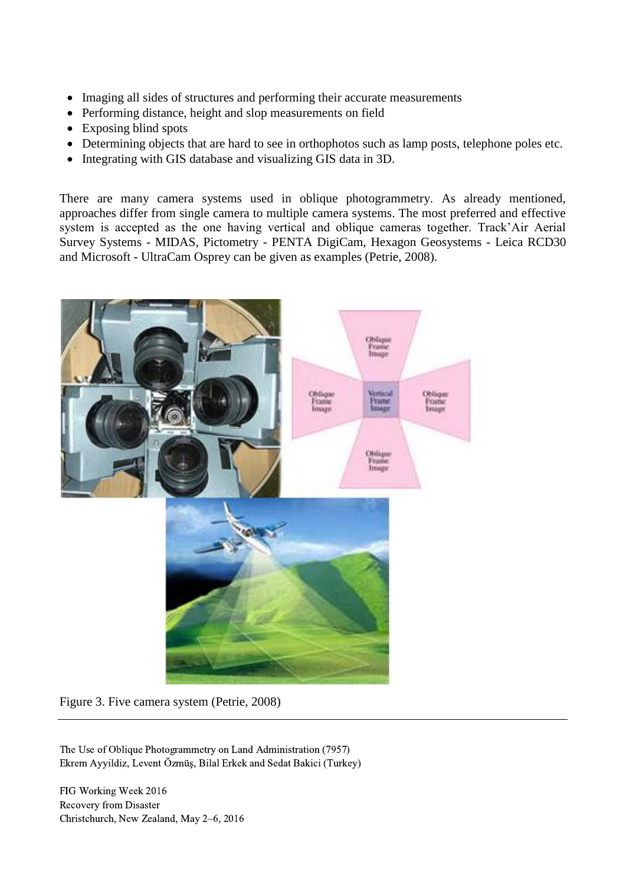- Imaging all sides of structures and performing their accurate measurements
- Performing distance, height and slop measurements on field
- Exposing blind spots
- Determining objects that are hard to see in orthophotos such as lamp posts, telephone poles etc.
- Integrating with GIS database and visualizing GIS data in 3D.

There are many camera systems used in oblique photogrammetry. As already mentioned, approaches differ from single camera to multiple camera systems. The most preferred and effective system is accepted as the one having vertical and oblique cameras together. Track'Air Aerial Survey Systems - MIDAS, Pictometry - PENTA DigiCam, Hexagon Geosystems - Leica RCD30 and Microsoft - UltraCam Osprey can be given as examples (Petrie, 2008).



Figure 3. Five camera system (Petrie, 2008)

The Use of Oblique Photogrammetry on Land Administration (7957) Ekrem Ayyildiz, Levent Özmüş, Bilal Erkek and Sedat Bakici (Turkey)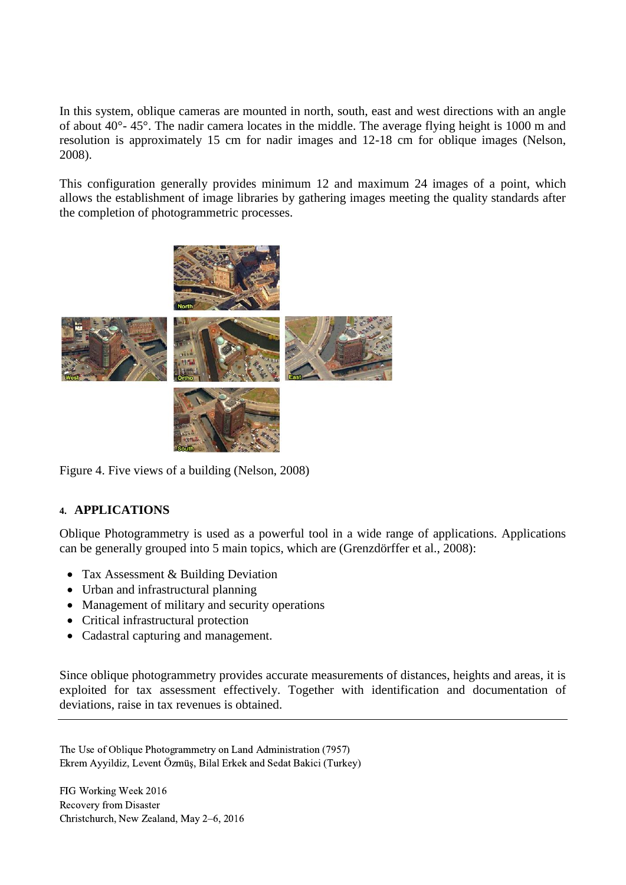In this system, oblique cameras are mounted in north, south, east and west directions with an angle of about 40°- 45°. The nadir camera locates in the middle. The average flying height is 1000 m and resolution is approximately 15 cm for nadir images and 12-18 cm for oblique images (Nelson, 2008).

This configuration generally provides minimum 12 and maximum 24 images of a point, which allows the establishment of image libraries by gathering images meeting the quality standards after the completion of photogrammetric processes.



Figure 4. Five views of a building (Nelson, 2008)

## **4. APPLICATIONS**

Oblique Photogrammetry is used as a powerful tool in a wide range of applications. Applications can be generally grouped into 5 main topics, which are (Grenzdörffer et al., 2008):

- Tax Assessment & Building Deviation
- Urban and infrastructural planning
- Management of military and security operations
- Critical infrastructural protection
- Cadastral capturing and management.

Since oblique photogrammetry provides accurate measurements of distances, heights and areas, it is exploited for tax assessment effectively. Together with identification and documentation of deviations, raise in tax revenues is obtained.

The Use of Oblique Photogrammetry on Land Administration (7957) Ekrem Ayyildiz, Levent Özmüş, Bilal Erkek and Sedat Bakici (Turkey)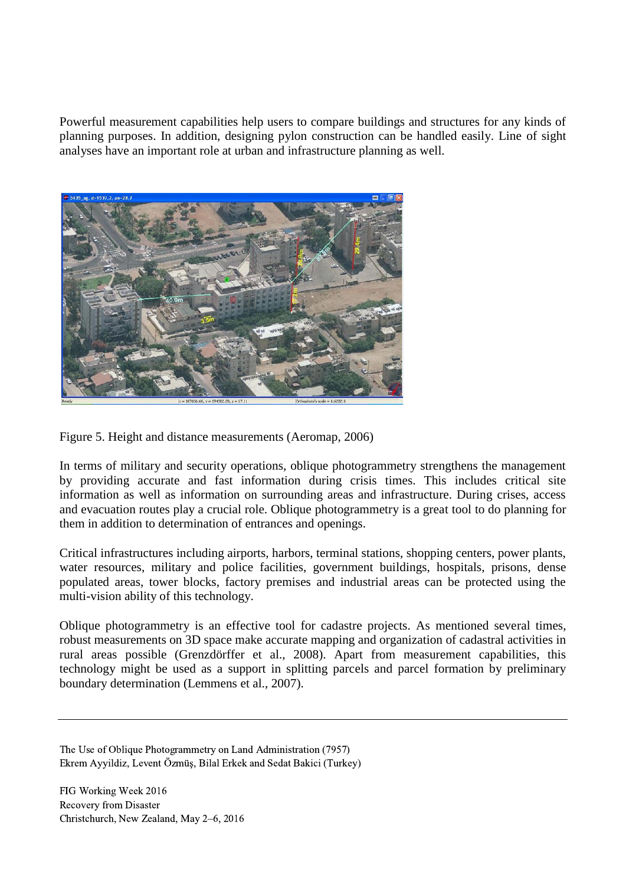Powerful measurement capabilities help users to compare buildings and structures for any kinds of planning purposes. In addition, designing pylon construction can be handled easily. Line of sight analyses have an important role at urban and infrastructure planning as well.



Figure 5. Height and distance measurements (Aeromap, 2006)

In terms of military and security operations, oblique photogrammetry strengthens the management by providing accurate and fast information during crisis times. This includes critical site information as well as information on surrounding areas and infrastructure. During crises, access and evacuation routes play a crucial role. Oblique photogrammetry is a great tool to do planning for them in addition to determination of entrances and openings.

Critical infrastructures including airports, harbors, terminal stations, shopping centers, power plants, water resources, military and police facilities, government buildings, hospitals, prisons, dense populated areas, tower blocks, factory premises and industrial areas can be protected using the multi-vision ability of this technology.

Oblique photogrammetry is an effective tool for cadastre projects. As mentioned several times, robust measurements on 3D space make accurate mapping and organization of cadastral activities in rural areas possible (Grenzdörffer et al., 2008). Apart from measurement capabilities, this technology might be used as a support in splitting parcels and parcel formation by preliminary boundary determination (Lemmens et al., 2007).

The Use of Oblique Photogrammetry on Land Administration (7957) Ekrem Ayyildiz, Levent Özmüş, Bilal Erkek and Sedat Bakici (Turkey)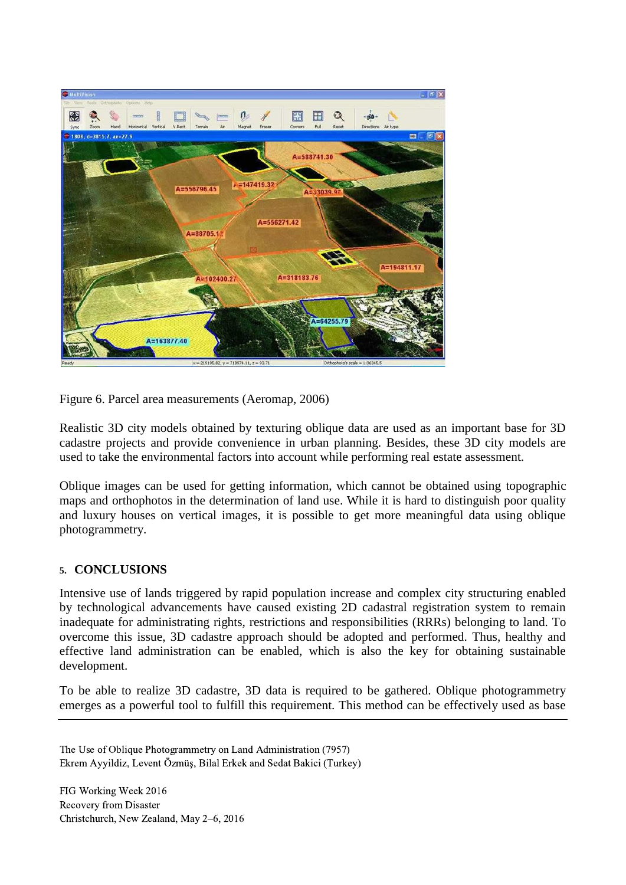

Figure 6. Parcel area measurements (Aeromap, 2006)

Realistic 3D city models obtained by texturing oblique data are used as an important base for 3D cadastre projects and provide convenience in urban planning. Besides, these 3D city models are used to take the environmental factors into account while performing real estate assessment.

Oblique images can be used for getting information, which cannot be obtained using topographic maps and orthophotos in the determination of land use. While it is hard to distinguish poor quality and luxury houses on vertical images, it is possible to get more meaningful data using oblique photogrammetry.

### **5. CONCLUSIONS**

Intensive use of lands triggered by rapid population increase and complex city structuring enabled by technological advancements have caused existing 2D cadastral registration system to remain inadequate for administrating rights, restrictions and responsibilities (RRRs) belonging to land. To overcome this issue, 3D cadastre approach should be adopted and performed. Thus, healthy and effective land administration can be enabled, which is also the key for obtaining sustainable development.

To be able to realize 3D cadastre, 3D data is required to be gathered. Oblique photogrammetry emerges as a powerful tool to fulfill this requirement. This method can be effectively used as base

The Use of Oblique Photogrammetry on Land Administration (7957) Ekrem Ayyildiz, Levent Özmüş, Bilal Erkek and Sedat Bakici (Turkey)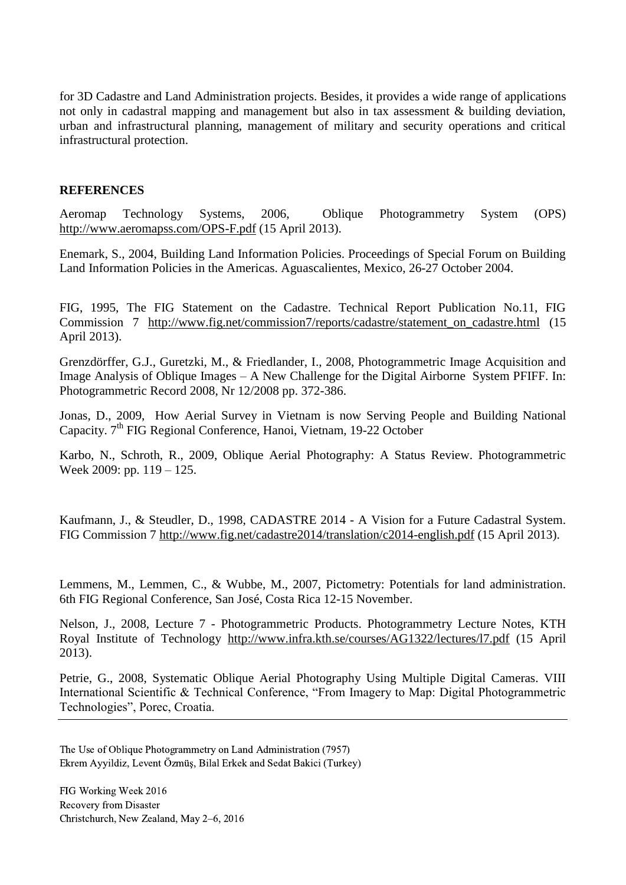for 3D Cadastre and Land Administration projects. Besides, it provides a wide range of applications not only in cadastral mapping and management but also in tax assessment & building deviation, urban and infrastructural planning, management of military and security operations and critical infrastructural protection.

#### **REFERENCES**

Aeromap Technology Systems, 2006, Oblique Photogrammetry System (OPS) http://www.aeromapss.com/OPS-F.pdf (15 April 2013).

Enemark, S., 2004, Building Land Information Policies. Proceedings of Special Forum on Building Land Information Policies in the Americas. Aguascalientes, Mexico, 26-27 October 2004.

FIG, 1995, The FIG Statement on the Cadastre. Technical Report Publication No.11, FIG Commission 7 http://www.fig.net/commission7/reports/cadastre/statement\_on\_cadastre.html (15 April 2013).

Grenzdörffer, G.J., Guretzki, M., & Friedlander, I., 2008, Photogrammetric Image Acquisition and Image Analysis of Oblique Images – A New Challenge for the Digital Airborne System PFIFF. In: Photogrammetric Record 2008, Nr 12/2008 pp. 372-386.

Jonas, D., 2009, How Aerial Survey in Vietnam is now Serving People and Building National Capacity. 7<sup>th</sup> FIG Regional Conference, Hanoi, Vietnam, 19-22 October

Karbo, N., Schroth, R., 2009, Oblique Aerial Photography: A Status Review. Photogrammetric Week 2009: pp. 119 – 125.

Kaufmann, J., & Steudler, D., 1998, CADASTRE 2014 - A Vision for a Future Cadastral System. FIG Commission 7 http://www.fig.net/cadastre2014/translation/c2014-english.pdf (15 April 2013).

Lemmens, M., Lemmen, C., & Wubbe, M., 2007, Pictometry: Potentials for land administration. 6th FIG Regional Conference, San José, Costa Rica 12-15 November.

Nelson, J., 2008, Lecture 7 - Photogrammetric Products. Photogrammetry Lecture Notes, KTH Royal Institute of Technology http://www.infra.kth.se/courses/AG1322/lectures/l7.pdf (15 April 2013).

Petrie, G., 2008, Systematic Oblique Aerial Photography Using Multiple Digital Cameras. VIII International Scientific & Technical Conference, "From Imagery to Map: Digital Photogrammetric Technologies", Porec, Croatia.

The Use of Oblique Photogrammetry on Land Administration (7957) Ekrem Ayyildiz, Levent Özmüş, Bilal Erkek and Sedat Bakici (Turkey)